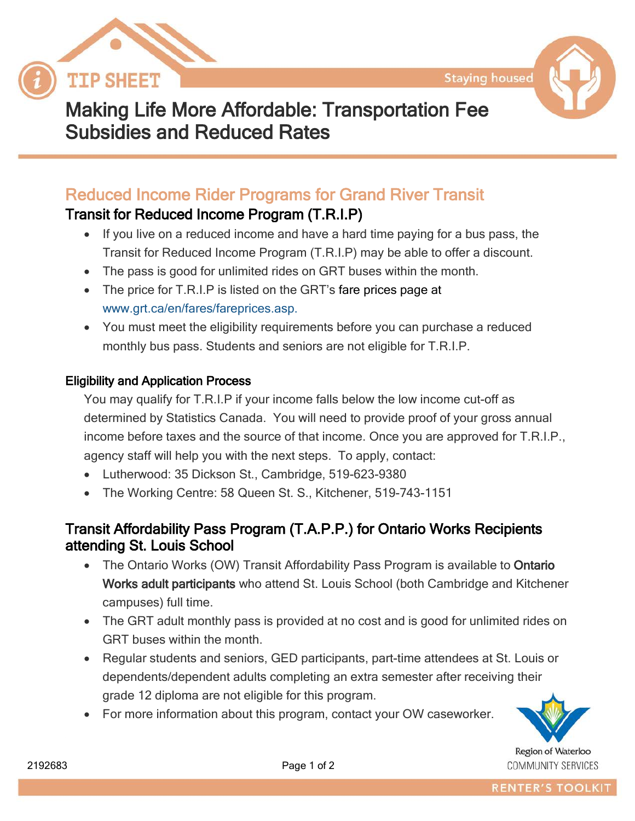



# Making Life More Affordable: Transportation Fee Subsidies and Reduced Rates

## Reduced Income Rider Programs for Grand River Transit

### Transit for Reduced Income Program (T.R.I.P)

- If you live on a reduced income and have a hard time paying for a bus pass, the Transit for Reduced Income Program (T.R.I.P) may be able to offer a discount.
- The pass is good for unlimited rides on GRT buses within the month.
- The price for T.R.I.P is listed on the GRT's [fare prices page](http://www.grt.ca/en/fares/FarePrices.asp) at www.grt.ca/en/fares/fareprices.asp.
- You must meet the eligibility requirements before you can purchase a reduced monthly bus pass. Students and seniors are not eligible for T.R.I.P.

#### Eligibility and Application Process

You may qualify for T.R.I.P if your income falls below the low income cut-off as determined by Statistics Canada. You will need to provide proof of your gross annual income before taxes and the source of that income. Once you are approved for T.R.I.P., agency staff will help you with the next steps. To apply, contact:

- Lutherwood: 35 Dickson St., Cambridge, 519-623-9380
- The Working Centre: 58 Queen St. S., Kitchener, 519-743-1151

### Transit Affordability Pass Program (T.A.P.P.) for Ontario Works Recipients attending St. Louis School

- The Ontario Works (OW) Transit Affordability Pass Program is available to Ontario Works adult participants who attend St. Louis School (both Cambridge and Kitchener campuses) full time.
- The GRT adult monthly pass is provided at no cost and is good for unlimited rides on GRT buses within the month.
- Regular students and seniors, GED participants, part-time attendees at St. Louis or dependents/dependent adults completing an extra semester after receiving their grade 12 diploma are not eligible for this program.
- For more information about this program, contact your OW caseworker.



COMMUNITY SERVICES